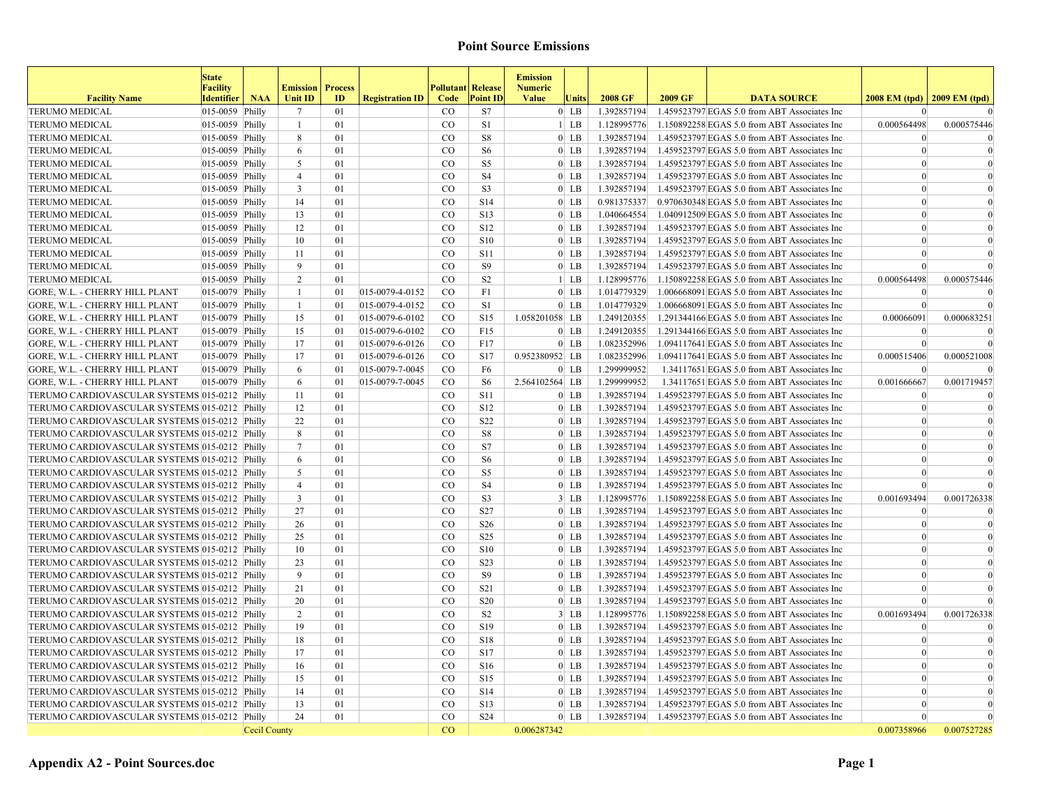|                                               | <b>State</b><br><b>Facility</b> |              | <b>Emission</b> | <b>Process</b> |                        | <b>Pollutant</b> | <b>Release</b>  | <b>Emission</b><br><b>Numeric</b> |        |             |         |                                              |                                   |             |
|-----------------------------------------------|---------------------------------|--------------|-----------------|----------------|------------------------|------------------|-----------------|-----------------------------------|--------|-------------|---------|----------------------------------------------|-----------------------------------|-------------|
| <b>Facility Name</b>                          | <b>Identifier</b>               | <b>NAA</b>   | <b>Unit ID</b>  | ID             | <b>Registration ID</b> | Code             | <b>Point ID</b> | <b>Value</b>                      | Units  | 2008 GF     | 2009 GF | <b>DATA SOURCE</b>                           | $2008$ EM (tpd)   $2009$ EM (tpd) |             |
| <b>TERUMO MEDICAL</b>                         | $ 015-0059 $ Philly             |              | $7\phantom{.0}$ | 01             |                        | CO               | <b>S7</b>       |                                   | $0$ LB | 1.392857194 |         | 1.459523797 EGAS 5.0 from ABT Associates Inc | $\Omega$                          |             |
| <b>TERUMO MEDICAL</b>                         | 015-0059 Philly                 |              | $\mathbf{1}$    | 01             |                        | $_{\rm CO}$      | S1              |                                   | $1$ LB | 1.128995776 |         | 1.150892258 EGAS 5.0 from ABT Associates Inc | 0.000564498                       | 0.000575446 |
| <b>TERUMO MEDICAL</b>                         | $ 015-0059 $ Philly             |              | 8               | 01             |                        | $\rm CO$         | S8              |                                   | $0$ LB | 1.392857194 |         | 1.459523797 EGAS 5.0 from ABT Associates Inc | $\Omega$                          | $\Omega$    |
| <b>TERUMO MEDICAL</b>                         | $ 015-0059 $ Philly             |              | 6               | 0 <sub>1</sub> |                        | CO               | S <sub>6</sub>  |                                   | $0$ LB | 1.392857194 |         | 1.459523797 EGAS 5.0 from ABT Associates Inc | $\vert$ 0                         | $\Omega$    |
| <b>TERUMO MEDICAL</b>                         | $ 015-0059 $ Philly             |              | 5               | 01             |                        | CO               | S <sub>5</sub>  |                                   | $0$ LB | 1.392857194 |         | 1.459523797 EGAS 5.0 from ABT Associates Inc | $\Omega$                          |             |
| <b>TERUMO MEDICAL</b>                         | $ 015-0059 $ Philly             |              | $\overline{4}$  | 01             |                        | CO               | S <sub>4</sub>  |                                   | $0$ LB | 1.392857194 |         | 1.459523797 EGAS 5.0 from ABT Associates Inc | $\theta$                          | $\theta$    |
| <b>TERUMO MEDICAL</b>                         | $ 015-0059 $ Philly             |              | $\mathbf{3}$    | 01             |                        | CO               | S <sub>3</sub>  |                                   | $0$ LB | 1.392857194 |         | 1.459523797 EGAS 5.0 from ABT Associates Inc | $\Omega$                          | $\Omega$    |
| <b>TERUMO MEDICAL</b>                         | $ 015-0059 $ Philly             |              | 14              | 01             |                        | CO               | S <sub>14</sub> |                                   | $0$ LB | 0.981375337 |         | 0.970630348 EGAS 5.0 from ABT Associates Inc | $\vert 0 \vert$                   | $\Omega$    |
| <b>TERUMO MEDICAL</b>                         | 015-0059 Philly                 |              | 13              | 01             |                        | CO               | S13             |                                   | $0$ LB | 1.040664554 |         | 1.040912509 EGAS 5.0 from ABT Associates Inc | $\Omega$                          | $\Omega$    |
| <b>TERUMO MEDICAL</b>                         | $ 015-0059 $ Philly             |              | 12              | 01             |                        | $_{\rm CO}$      | S <sub>12</sub> |                                   | $0$ LB | 1.392857194 |         | 1.459523797 EGAS 5.0 from ABT Associates Inc | $\vert 0 \vert$                   | $\theta$    |
| <b>TERUMO MEDICAL</b>                         | $ 015-0059 $ Philly             |              | 10              | 01             |                        | CO               | <b>S10</b>      |                                   | $0$ LB | 1.392857194 |         | 1.459523797 EGAS 5.0 from ABT Associates Inc | $\Omega$                          | $\Omega$    |
| <b>TERUMO MEDICAL</b>                         | $ 015-0059 $ Philly             |              | 11              | 01             |                        | $_{\rm CO}$      | S11             |                                   | $0$ LB | 1.392857194 |         | 1.459523797 EGAS 5.0 from ABT Associates Inc | $\Omega$                          |             |
| <b>TERUMO MEDICAL</b>                         | 015-0059 Philly                 |              | 9               | 01             |                        | CO               | S <sub>9</sub>  |                                   | $0$ LB | 1.392857194 |         | 1.459523797 EGAS 5.0 from ABT Associates Inc | $\theta$                          |             |
| <b>TERUMO MEDICAL</b>                         | 015-0059 Philly                 |              | $\overline{2}$  | 01             |                        | CO               | S <sub>2</sub>  |                                   | $1$ LB | 1.128995776 |         | 1.150892258 EGAS 5.0 from ABT Associates Inc | 0.000564498                       | 0.000575446 |
| <b>GORE, W.L. - CHERRY HILL PLANT</b>         | 015-0079 Philly                 |              | $\mathbf{1}$    | 01             | 015-0079-4-0152        | CO               | F1              |                                   | $0$ LB | 1.014779329 |         | 1.006668091 EGAS 5.0 from ABT Associates Inc | $\Omega$                          |             |
| <b>GORE, W.L. - CHERRY HILL PLANT</b>         | $ 015-0079 $ Philly             |              | $\mathbf{1}$    | 01             | 015-0079-4-0152        | CO               | S1              |                                   | $0$ LB | 1.014779329 |         | 1.006668091 EGAS 5.0 from ABT Associates Inc | $\vert$ 0                         | $\Omega$    |
| <b>GORE, W.L. - CHERRY HILL PLANT</b>         | 015-0079 Philly                 |              | 15              | 01             | 015-0079-6-0102        | CO               | <b>S15</b>      | 1.058201058 LB                    |        | 1.249120355 |         | 1.291344166 EGAS 5.0 from ABT Associates Inc | 0.00066091                        | 0.000683251 |
| <b>GORE, W.L. - CHERRY HILL PLANT</b>         | $ 015-0079 $ Philly             |              | 15              | 01             | $ 015-0079-6-0102$     | CO               | F15             |                                   | $0$ LB | 1.249120355 |         | 1.291344166 EGAS 5.0 from ABT Associates Inc | $\Omega$                          | ſ           |
| <b>GORE, W.L. - CHERRY HILL PLANT</b>         | $ 015-0079 $ Philly             |              | 17              | 01             | 015-0079-6-0126        | CO               | F17             |                                   | $0$ LB | 1.082352996 |         | 1.094117641 EGAS 5.0 from ABT Associates Inc | $\Omega$                          |             |
| GORE, W.L. - CHERRY HILL PLANT                | $ 015-0079 $ Philly             |              | 17              | 01             | 015-0079-6-0126        | CO               | S17             | 0.952380952 LB                    |        | 1.082352996 |         | 1.094117641 EGAS 5.0 from ABT Associates Inc | 0.000515406                       | 0.000521008 |
| <b>GORE, W.L. - CHERRY HILL PLANT</b>         | 015-0079 Philly                 |              | 6               | 01             | $ 015-0079-7-0045$     | CO               | F <sub>6</sub>  |                                   | $0$ LB | 1.299999952 |         | 1.34117651 EGAS 5.0 from ABT Associates Inc  |                                   |             |
| <b>GORE, W.L. - CHERRY HILL PLANT</b>         | 015-0079 Philly                 |              | 6               | 01             | 015-0079-7-0045        | CO               | S <sub>6</sub>  | 2.564102564 LB                    |        | 1.299999952 |         | 1.34117651 EGAS 5.0 from ABT Associates Inc  | 0.001666667                       | 0.001719457 |
| TERUMO CARDIOVASCULAR SYSTEMS 015-0212 Philly |                                 |              | 11              | 01             |                        | CO               | <b>S11</b>      |                                   | $0$ LB | 1.392857194 |         | 1.459523797 EGAS 5.0 from ABT Associates Inc | $\vert$ 0                         |             |
| TERUMO CARDIOVASCULAR SYSTEMS 015-0212 Philly |                                 |              | 12              | 01             |                        | <sub>CO</sub>    | S <sub>12</sub> |                                   | $0$ LB | 1.392857194 |         | 1.459523797 EGAS 5.0 from ABT Associates Inc | $\vert$ 0                         | $\Omega$    |
| TERUMO CARDIOVASCULAR SYSTEMS 015-0212 Philly |                                 |              | 22              | 01             |                        | $_{\rm CO}$      | S22             |                                   | $0$ LB | 1.392857194 |         | 1.459523797 EGAS 5.0 from ABT Associates Inc | $\vert$ 0                         | $\Omega$    |
| TERUMO CARDIOVASCULAR SYSTEMS 015-0212 Philly |                                 |              | 8               | 01             |                        | $_{\rm CO}$      | S8              |                                   | $0$ LB | 1.392857194 |         | 1.459523797 EGAS 5.0 from ABT Associates Inc | $\vert$ 0                         | $\Omega$    |
| TERUMO CARDIOVASCULAR SYSTEMS 015-0212 Philly |                                 |              | $\overline{7}$  | 0 <sub>1</sub> |                        | CO               | <b>S7</b>       |                                   | $0$ LB | 1.392857194 |         | 1.459523797 EGAS 5.0 from ABT Associates Inc | $\Omega$                          |             |
| TERUMO CARDIOVASCULAR SYSTEMS 015-0212 Philly |                                 |              | 6               | 01             |                        | $_{\rm CO}$      | S <sub>6</sub>  |                                   | $0$ LB | 1.392857194 |         | 1.459523797 EGAS 5.0 from ABT Associates Inc | $\Omega$                          |             |
| TERUMO CARDIOVASCULAR SYSTEMS 015-0212 Philly |                                 |              | 5               | 01             |                        | $_{\rm CO}$      | S <sub>5</sub>  |                                   | $0$ LB | 1.392857194 |         | 1.459523797 EGAS 5.0 from ABT Associates Inc | $\Omega$                          | $\Omega$    |
| TERUMO CARDIOVASCULAR SYSTEMS 015-0212 Philly |                                 |              | $\overline{4}$  | 01             |                        | $_{\rm CO}$      | S <sub>4</sub>  |                                   | $0$ LB | 1.392857194 |         | 1.459523797 EGAS 5.0 from ABT Associates Inc | $\Omega$                          |             |
| TERUMO CARDIOVASCULAR SYSTEMS 015-0212 Philly |                                 |              | $\mathbf{3}$    | 01             |                        | $_{\rm CO}$      | S <sub>3</sub>  |                                   | $3$ LB | 1.128995776 |         | 1.150892258 EGAS 5.0 from ABT Associates Inc | 0.001693494                       | 0.001726338 |
| TERUMO CARDIOVASCULAR SYSTEMS 015-0212 Philly |                                 |              | 27              | 01             |                        | $_{\rm CO}$      | S27             |                                   | $0$ LB | 1.392857194 |         | 1.459523797 EGAS 5.0 from ABT Associates Inc | $\vert$ 0                         | $\theta$    |
| TERUMO CARDIOVASCULAR SYSTEMS 015-0212 Philly |                                 |              | 26              | 01             |                        | CO               | S <sub>26</sub> |                                   | $0$ LB | 1.392857194 |         | 1.459523797 EGAS 5.0 from ABT Associates Inc | $\vert 0 \vert$                   | $\theta$    |
| TERUMO CARDIOVASCULAR SYSTEMS 015-0212 Philly |                                 |              | 25              | 01             |                        | CO               | S <sub>25</sub> |                                   | $0$ LB | 1.392857194 |         | 1.459523797 EGAS 5.0 from ABT Associates Inc | $\Omega$                          | $\Omega$    |
| TERUMO CARDIOVASCULAR SYSTEMS 015-0212 Philly |                                 |              | 10              | 01             |                        | CO               | S10             |                                   | $0$ LB | 1.392857194 |         | 1.459523797 EGAS 5.0 from ABT Associates Inc | $\Omega$                          | $\Omega$    |
| TERUMO CARDIOVASCULAR SYSTEMS 015-0212 Philly |                                 |              | 23              | 01             |                        | CO               | S23             |                                   | $0$ LB | 1.392857194 |         | 1.459523797 EGAS 5.0 from ABT Associates Inc | $\vert 0 \vert$                   | $\theta$    |
| TERUMO CARDIOVASCULAR SYSTEMS 015-0212 Philly |                                 |              | 9               | 01             |                        | $_{\rm CO}$      | <b>S9</b>       |                                   | $0$ LB | 1.392857194 |         | 1.459523797 EGAS 5.0 from ABT Associates Inc | $\Omega$                          | $\Omega$    |
| TERUMO CARDIOVASCULAR SYSTEMS 015-0212 Philly |                                 |              | 21              | 01             |                        | CO               | S <sub>21</sub> |                                   | $0$ LB | 1.392857194 |         | 1.459523797 EGAS 5.0 from ABT Associates Inc | $\Omega$                          | $\Omega$    |
| TERUMO CARDIOVASCULAR SYSTEMS 015-0212 Philly |                                 |              | 20              | 01             |                        | CO               | <b>S20</b>      |                                   | $0$ LB | 1.392857194 |         | 1.459523797 EGAS 5.0 from ABT Associates Inc | $\vert$ 0                         | $\Omega$    |
| TERUMO CARDIOVASCULAR SYSTEMS 015-0212 Philly |                                 |              | $\overline{2}$  | 01             |                        | CO               | S <sub>2</sub>  |                                   | $3$ LB | 1.128995776 |         | 1.150892258 EGAS 5.0 from ABT Associates Inc | 0.001693494                       | 0.001726338 |
| TERUMO CARDIOVASCULAR SYSTEMS 015-0212 Philly |                                 |              | 19              | 01             |                        | CO               | S <sub>19</sub> |                                   | $0$ LB | 1.392857194 |         | 1.459523797 EGAS 5.0 from ABT Associates Inc | $\vert$ 0                         | $\Omega$    |
| TERUMO CARDIOVASCULAR SYSTEMS 015-0212 Philly |                                 |              | 18              | 01             |                        | $_{\rm CO}$      | <b>S18</b>      |                                   | $0$ LB | 1.392857194 |         | 1.459523797 EGAS 5.0 from ABT Associates Inc | $\theta$                          | $\Omega$    |
| TERUMO CARDIOVASCULAR SYSTEMS 015-0212 Philly |                                 |              | 17              | 01             |                        | CO               | S <sub>17</sub> |                                   | $0$ LB | 1.392857194 |         | 1.459523797 EGAS 5.0 from ABT Associates Inc | $\theta$                          |             |
| TERUMO CARDIOVASCULAR SYSTEMS 015-0212 Philly |                                 |              | 16              | 01             |                        | $_{\rm CO}$      | S <sub>16</sub> |                                   | $0$ LB | 1.392857194 |         | 1.459523797 EGAS 5.0 from ABT Associates Inc | $\vert$ 0                         |             |
| TERUMO CARDIOVASCULAR SYSTEMS 015-0212 Philly |                                 |              | 15              | 01             |                        | CO               | S <sub>15</sub> |                                   | $0$ LB | 1.392857194 |         | 1.459523797 EGAS 5.0 from ABT Associates Inc | $\vert$ 0                         | $\Omega$    |
| TERUMO CARDIOVASCULAR SYSTEMS 015-0212 Philly |                                 |              | 14              | 01             |                        | CO               | S <sub>14</sub> |                                   | $0$ LB | 1.392857194 |         | 1.459523797 EGAS 5.0 from ABT Associates Inc | $\vert$ 0                         | $\Omega$    |
| TERUMO CARDIOVASCULAR SYSTEMS 015-0212 Philly |                                 |              | 13              | 01             |                        | <sub>CO</sub>    | S <sub>13</sub> |                                   | $0$ LB | 1.392857194 |         | 1.459523797 EGAS 5.0 from ABT Associates Inc | $\vert$ 0                         | $\Omega$    |
| TERUMO CARDIOVASCULAR SYSTEMS 015-0212 Philly |                                 |              | 24              | 01             |                        | CO               | S <sub>24</sub> |                                   | $0$ LB | 1.392857194 |         | 1.459523797 EGAS 5.0 from ABT Associates Inc | $\vert$ 0                         | $\Omega$    |
|                                               |                                 | Cecil County |                 |                |                        | CO               |                 | 0.006287342                       |        |             |         |                                              | 0.007358966                       | 0.007527285 |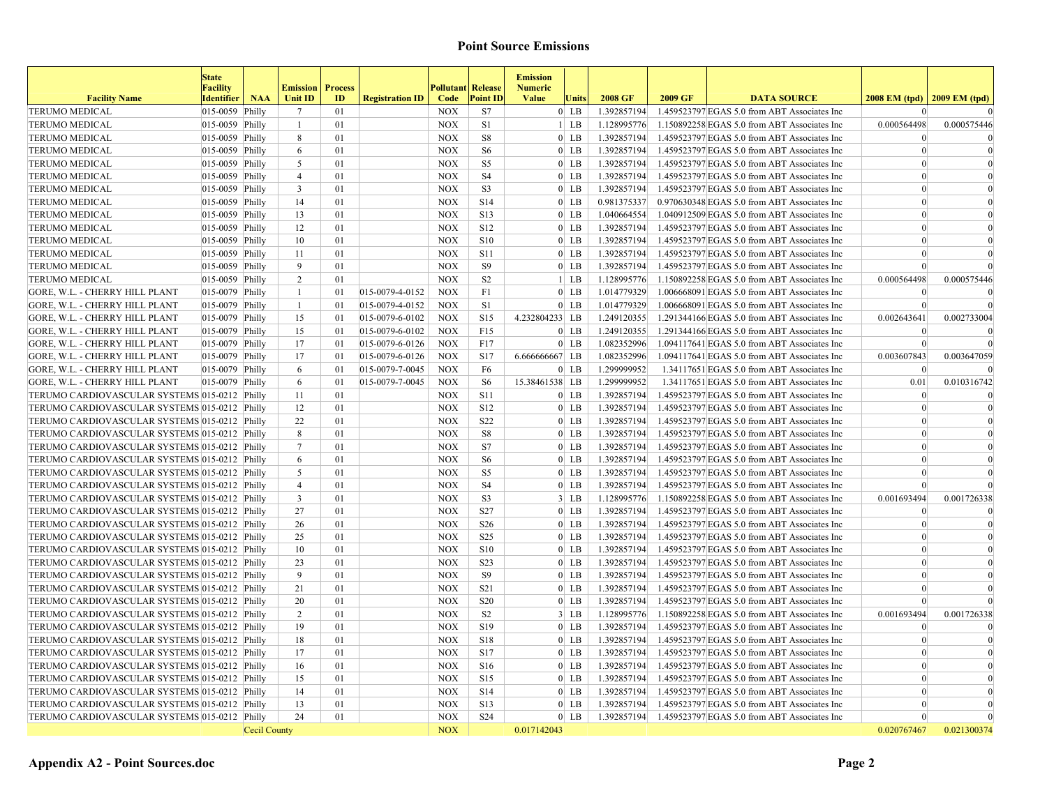| <b>Facility Name</b>                          | <b>State</b><br><b>Facility</b><br><b>Identifier</b> | <b>NAA</b>   | <b>Emission</b><br>Unit ID | <b>Process</b><br>ID | <b>Registration ID</b> | <b>Pollutant</b> Release<br>Code | <b>Point ID</b>  | <b>Emission</b><br><b>Numeric</b><br><b>Value</b> | Units   | 2008 GF     | 2009 GF | <b>DATA SOURCE</b>                                       | 2008 EM (tpd)   2009 EM (tpd) |             |
|-----------------------------------------------|------------------------------------------------------|--------------|----------------------------|----------------------|------------------------|----------------------------------|------------------|---------------------------------------------------|---------|-------------|---------|----------------------------------------------------------|-------------------------------|-------------|
| <b>TERUMO MEDICAL</b>                         | $ 015-0059 $ Philly                                  |              | 7                          | 01                   |                        | <b>NOX</b>                       | S7               |                                                   | $0$ LB  | 1.392857194 |         | 1.459523797 EGAS 5.0 from ABT Associates Inc             | $\Omega$                      |             |
| <b>TERUMO MEDICAL</b>                         | $ 015-0059 $ Philly                                  |              | $\mathbf{1}$               | 01                   |                        | <b>NOX</b>                       | S <sub>1</sub>   |                                                   | $1$ LB  | 1.128995776 |         | 1.150892258 EGAS 5.0 from ABT Associates Inc             | 0.000564498                   | 0.000575446 |
| <b>TERUMO MEDICAL</b>                         | $ 015-0059 $ Philly                                  |              | 8                          | 01                   |                        | <b>NOX</b>                       | $^{\rm S8}$      |                                                   | $0$ LB  | 1.392857194 |         | 1.459523797 EGAS 5.0 from ABT Associates Inc             | $\Omega$                      | $\Omega$    |
| <b>TERUMO MEDICAL</b>                         | $ 015-0059 $ Philly                                  |              | 6                          | 01                   |                        | <b>NOX</b>                       | S <sub>6</sub>   |                                                   | $0$ LB  | 1.392857194 |         | 1.459523797 EGAS 5.0 from ABT Associates Inc             | $\vert$ 0                     | $\Omega$    |
| <b>TERUMO MEDICAL</b>                         | $ 015-0059 $ Philly                                  |              | 5                          | 01                   |                        | <b>NOX</b>                       | S5               |                                                   | $0$ LB  | 1.392857194 |         | 1.459523797 EGAS 5.0 from ABT Associates Inc             | $\Omega$                      | $\Omega$    |
| <b>TERUMO MEDICAL</b>                         | $ 015-0059 $ Philly                                  |              | $\overline{4}$             | 01                   |                        | <b>NOX</b>                       | S <sub>4</sub>   |                                                   | $0$ LB  | 1.392857194 |         | 1.459523797 EGAS 5.0 from ABT Associates Inc             | $\theta$                      | $\theta$    |
| <b>TERUMO MEDICAL</b>                         | $ 015-0059 $ Philly                                  |              | $\mathbf{3}$               | 01                   |                        | <b>NOX</b>                       | S3               |                                                   | $0$ LB  | 1.392857194 |         | 1.459523797 EGAS 5.0 from ABT Associates Inc             | $\Omega$                      | $\Omega$    |
| <b>TERUMO MEDICAL</b>                         | $ 015-0059 $ Philly                                  |              | 14                         | 01                   |                        | <b>NOX</b>                       | S14              |                                                   | $0$ LB  | 0.981375337 |         | 0.970630348 EGAS 5.0 from ABT Associates Inc             | $\vert$ 0                     | $\Omega$    |
| <b>TERUMO MEDICAL</b>                         | $ 015-0059 $ Philly                                  |              | 13                         | 01                   |                        | <b>NOX</b>                       | S13              |                                                   | $0$ LB  | 1.040664554 |         | 1.040912509 EGAS 5.0 from ABT Associates Inc             | $\vert$ 0                     | $\Omega$    |
| <b>TERUMO MEDICAL</b>                         | $ 015-0059 $ Philly                                  |              | 12                         | 01                   |                        | <b>NOX</b>                       | S <sub>12</sub>  |                                                   | $0$ LB  | 1.392857194 |         | 1.459523797 EGAS 5.0 from ABT Associates Inc             | $\vert$ 0                     | $\theta$    |
| <b>TERUMO MEDICAL</b>                         | $ 015-0059 $ Philly                                  |              | 10                         | 01                   |                        | <b>NOX</b>                       | <b>S10</b>       |                                                   | $0$ LB  | 1.392857194 |         | 1.459523797 EGAS 5.0 from ABT Associates Inc             | $\Omega$                      | $\Omega$    |
| <b>TERUMO MEDICAL</b>                         | $ 015-0059 $ Philly                                  |              | 11                         | 01                   |                        | <b>NOX</b>                       | <b>S11</b>       |                                                   | $0$ LB  | 1.392857194 |         | 1.459523797 EGAS 5.0 from ABT Associates Inc             | $\theta$                      |             |
| <b>TERUMO MEDICAL</b>                         | $ 015-0059 $ Philly                                  |              | 9                          | 01                   |                        | <b>NOX</b>                       | S9               |                                                   | $0$ LB  | 1.392857194 |         | 1.459523797 EGAS 5.0 from ABT Associates Inc             | $\theta$                      |             |
| <b>TERUMO MEDICAL</b>                         | $ 015-0059 $ Philly                                  |              | $\overline{2}$             | 01                   |                        | <b>NOX</b>                       | S <sub>2</sub>   |                                                   | $1$ LB  | 1.128995776 |         | 1.150892258 EGAS 5.0 from ABT Associates Inc             | 0.000564498                   | 0.000575446 |
| <b>GORE, W.L. - CHERRY HILL PLANT</b>         | 015-0079 Philly                                      |              | $\mathbf{1}$               | 01                   | 015-0079-4-0152        | <b>NOX</b>                       | F1               |                                                   | $0$ LB  | 1.014779329 |         | 1.006668091 EGAS 5.0 from ABT Associates Inc             | $\theta$                      |             |
| <b>GORE, W.L. - CHERRY HILL PLANT</b>         | $ 015-0079 $ Philly                                  |              | $\mathbf{1}$               | 01                   | 015-0079-4-0152        | <b>NOX</b>                       | S1               |                                                   | $0$ LB  | 1.014779329 |         | 1.006668091 EGAS 5.0 from ABT Associates Inc             | $\vert$ 0                     | $\Omega$    |
| <b>GORE, W.L. - CHERRY HILL PLANT</b>         | $ 015-0079 $ Philly                                  |              | 15                         | 01                   | 015-0079-6-0102        | <b>NOX</b>                       | S <sub>15</sub>  | 4.232804233 LB                                    |         | 1.249120355 |         | 1.291344166 EGAS 5.0 from ABT Associates Inc             | 0.002643641                   | 0.002733004 |
| <b>GORE, W.L. - CHERRY HILL PLANT</b>         | $ 015-0079 $ Philly                                  |              | 15                         | 01                   | 015-0079-6-0102        | <b>NOX</b>                       | F15              |                                                   | $0$ LB  | 1.249120355 |         | 1.291344166 EGAS 5.0 from ABT Associates Inc             | $\Omega$                      | ſ           |
| GORE, W.L. - CHERRY HILL PLANT                | $ 015-0079 $ Philly                                  |              | 17                         | 01                   | 015-0079-6-0126        | <b>NOX</b>                       | F17              |                                                   | $0$ LB  | 1.082352996 |         | 1.094117641 EGAS 5.0 from ABT Associates Inc             | $\Omega$                      |             |
| GORE, W.L. - CHERRY HILL PLANT                | $ 015-0079 $ Philly                                  |              | 17                         | 01                   | $ 015-0079-6-0126 $    | <b>NOX</b>                       | S17              | 6.666666667 LB                                    |         | 1.082352996 |         | 1.094117641 EGAS 5.0 from ABT Associates Inc             | 0.003607843                   | 0.003647059 |
| <b>GORE, W.L. - CHERRY HILL PLANT</b>         | $ 015-0079 $ Philly                                  |              | 6                          | 01                   | 015-0079-7-0045        | <b>NOX</b>                       | F <sub>6</sub>   |                                                   | $0$ LB  | 1.299999952 |         | 1.34117651 EGAS 5.0 from ABT Associates Inc              |                               |             |
| <b>GORE, W.L. - CHERRY HILL PLANT</b>         | $ 015-0079 $ Philly                                  |              | 6                          | 01                   | 015-0079-7-0045        | <b>NOX</b>                       | S <sub>6</sub>   | 15.38461538 LB                                    |         | 1.299999952 |         | 1.34117651 EGAS 5.0 from ABT Associates Inc              | 0.01                          | 0.010316742 |
| TERUMO CARDIOVASCULAR SYSTEMS 015-0212 Philly |                                                      |              | 11                         | 01                   |                        | <b>NOX</b>                       | <b>S11</b>       |                                                   | $0$ LB  | 1.392857194 |         | 1.459523797 EGAS 5.0 from ABT Associates Inc             | $\vert 0 \vert$               | $\epsilon$  |
| TERUMO CARDIOVASCULAR SYSTEMS 015-0212 Philly |                                                      |              | 12                         | 01                   |                        | <b>NOX</b>                       | S <sub>12</sub>  |                                                   | $0$ LB  | 1.392857194 |         | 1.459523797 EGAS 5.0 from ABT Associates Inc             | $\vert$ 0                     | $\Omega$    |
| TERUMO CARDIOVASCULAR SYSTEMS 015-0212 Philly |                                                      |              | 22                         | 01                   |                        | <b>NOX</b>                       | S <sub>22</sub>  |                                                   | $0$ LB  | 1.392857194 |         | 1.459523797 EGAS 5.0 from ABT Associates Inc             | $\vert$ 0                     | $\Omega$    |
| TERUMO CARDIOVASCULAR SYSTEMS 015-0212 Philly |                                                      |              | 8                          | 01                   |                        | <b>NOX</b>                       | S8               |                                                   | $0$ LB  | 1.392857194 |         | 1.459523797 EGAS 5.0 from ABT Associates Inc             | $\vert$ 0                     | $\Omega$    |
| TERUMO CARDIOVASCULAR SYSTEMS 015-0212 Philly |                                                      |              | $\tau$                     | 01                   |                        | <b>NOX</b>                       | S7               |                                                   | $0$ I.B | 1.392857194 |         | 1.459523797 EGAS 5.0 from ABT Associates Inc             | $\Omega$                      | $\Omega$    |
| TERUMO CARDIOVASCULAR SYSTEMS 015-0212 Philly |                                                      |              | 6                          | 01                   |                        | <b>NOX</b>                       | S <sub>6</sub>   |                                                   | $0$ LB  | 1.392857194 |         | 1.459523797 EGAS 5.0 from ABT Associates Inc             | $\theta$                      |             |
| TERUMO CARDIOVASCULAR SYSTEMS 015-0212 Philly |                                                      |              | 5                          | 01                   |                        | <b>NOX</b>                       | S5               |                                                   | $0$ LB  | 1.392857194 |         | 1.459523797 EGAS 5.0 from ABT Associates Inc             | $\theta$                      | $\Omega$    |
| TERUMO CARDIOVASCULAR SYSTEMS 015-0212 Philly |                                                      |              | $\overline{4}$             | 01                   |                        | <b>NOX</b>                       | S <sub>4</sub>   |                                                   | $0$ LB  | 1.392857194 |         | 1.459523797 EGAS 5.0 from ABT Associates Inc             | $\Omega$                      |             |
| TERUMO CARDIOVASCULAR SYSTEMS 015-0212 Philly |                                                      |              | 3                          | 01                   |                        | <b>NOX</b>                       | S <sub>3</sub>   |                                                   | $3 $ LB | 1.128995776 |         | 1.150892258 EGAS 5.0 from ABT Associates Inc             | 0.001693494                   | 0.001726338 |
| TERUMO CARDIOVASCULAR SYSTEMS 015-0212 Philly |                                                      |              | 27                         | 01                   |                        | <b>NOX</b>                       | S27              |                                                   | $0$ LB  | 1.392857194 |         | 1.459523797 EGAS 5.0 from ABT Associates Inc             | $\vert 0 \vert$               | $\theta$    |
| TERUMO CARDIOVASCULAR SYSTEMS 015-0212 Philly |                                                      |              | 26                         | 01                   |                        | <b>NOX</b>                       | S <sub>26</sub>  |                                                   | $0$ LB  | 1.392857194 |         | 1.459523797 EGAS 5.0 from ABT Associates Inc             | $\vert 0 \vert$               | $\Omega$    |
| TERUMO CARDIOVASCULAR SYSTEMS 015-0212 Philly |                                                      |              | 25                         | 01                   |                        | <b>NOX</b>                       | S <sub>25</sub>  |                                                   | $0$ LB  | 1.392857194 |         | 1.459523797 EGAS 5.0 from ABT Associates Inc             | $\theta$                      | $\Omega$    |
| TERUMO CARDIOVASCULAR SYSTEMS 015-0212 Philly |                                                      |              | 10                         | 01                   |                        | <b>NOX</b>                       | <b>S10</b>       |                                                   | $0$ LB  | 1.392857194 |         | 1.459523797 EGAS 5.0 from ABT Associates Inc             | $\theta$                      | $\Omega$    |
| TERUMO CARDIOVASCULAR SYSTEMS 015-0212 Philly |                                                      |              | 23                         | 01                   |                        | <b>NOX</b>                       | S <sub>2</sub> 3 |                                                   | $0$ LB  | 1.392857194 |         | 1.459523797 EGAS 5.0 from ABT Associates Inc             | $\vert$ 0                     | $\theta$    |
| TERUMO CARDIOVASCULAR SYSTEMS 015-0212 Philly |                                                      |              | 9                          | 01                   |                        | <b>NOX</b>                       | <b>S9</b>        |                                                   | $0$ LB  | 1.392857194 |         | 1.459523797 EGAS 5.0 from ABT Associates Inc             | $\Omega$                      | $\Omega$    |
| TERUMO CARDIOVASCULAR SYSTEMS 015-0212 Philly |                                                      |              | 21                         | 01                   |                        | <b>NOX</b>                       | S21              |                                                   | $0$ LB  | 1.392857194 |         | 1.459523797 EGAS 5.0 from ABT Associates Inc             | $\Omega$                      | $\Omega$    |
| TERUMO CARDIOVASCULAR SYSTEMS 015-0212 Philly |                                                      |              | 20                         | 01                   |                        | <b>NOX</b>                       | <b>S20</b>       |                                                   | $0$ LB  | 1.392857194 |         | 1.459523797 EGAS 5.0 from ABT Associates Inc             | $\vert$ 0                     |             |
| TERUMO CARDIOVASCULAR SYSTEMS 015-0212 Philly |                                                      |              | $\overline{2}$             | 01                   |                        | <b>NOX</b>                       | S <sub>2</sub>   |                                                   | $3$ LB  | 1.128995776 |         | 1.150892258 EGAS 5.0 from ABT Associates Inc             | 0.001693494                   | 0.001726338 |
| TERUMO CARDIOVASCULAR SYSTEMS 015-0212 Philly |                                                      |              | 19                         | 01                   |                        | NOX                              | S <sub>19</sub>  |                                                   | $0$ LB  | 1.392857194 |         | 1.459523797 EGAS 5.0 from ABT Associates Inc             | $\vert$ 0                     | $\Omega$    |
| TERUMO CARDIOVASCULAR SYSTEMS 015-0212 Philly |                                                      |              | 18                         | 01                   |                        | <b>NOX</b>                       | <b>S18</b>       |                                                   | $0$ LB  | 1.392857194 |         | 1.459523797 EGAS 5.0 from ABT Associates Inc             | $\vert$ 0                     | $\Omega$    |
| TERUMO CARDIOVASCULAR SYSTEMS 015-0212 Philly |                                                      |              | 17                         | 01                   |                        | NOX                              | S17              |                                                   | $0$ LB  | 1.392857194 |         | 1.459523797 EGAS 5.0 from ABT Associates Inc             | $\theta$                      |             |
| TERUMO CARDIOVASCULAR SYSTEMS 015-0212 Philly |                                                      |              | 16                         | 01                   |                        | <b>NOX</b>                       | S <sub>16</sub>  |                                                   | $0$ LB  | 1.392857194 |         | 1.459523797 EGAS 5.0 from ABT Associates Inc             | $\vert$ 0                     | $\Omega$    |
| TERUMO CARDIOVASCULAR SYSTEMS 015-0212 Philly |                                                      |              | 15                         | 01                   |                        | <b>NOX</b>                       | S <sub>15</sub>  |                                                   | $0$ LB  | 1.392857194 |         | 1.459523797 EGAS 5.0 from ABT Associates Inc             | $\vert$ 0                     | $\Omega$    |
| TERUMO CARDIOVASCULAR SYSTEMS 015-0212 Philly |                                                      |              | 14                         | 01                   |                        | <b>NOX</b>                       | S <sub>14</sub>  |                                                   | $0$ LB  | 1.392857194 |         | 1.459523797 EGAS 5.0 from ABT Associates Inc             | $\vert$ 0                     | $\Omega$    |
| TERUMO CARDIOVASCULAR SYSTEMS 015-0212 Philly |                                                      |              | 13                         | 01                   |                        | <b>NOX</b>                       | S <sub>13</sub>  |                                                   | $0$ LB  | 1.392857194 |         | 1.459523797 EGAS 5.0 from ABT Associates Inc             | $\vert$ 0                     |             |
| TERUMO CARDIOVASCULAR SYSTEMS 015-0212 Philly |                                                      |              | 24                         | 01                   |                        | <b>NOX</b>                       | S <sub>24</sub>  |                                                   | $0$ LB  |             |         | 1.392857194 1.459523797 EGAS 5.0 from ABT Associates Inc | $\vert$ 0                     | $\Omega$    |
|                                               |                                                      | Cecil County |                            |                      |                        | <b>NOX</b>                       |                  | 0.017142043                                       |         |             |         |                                                          | 0.020767467                   | 0.021300374 |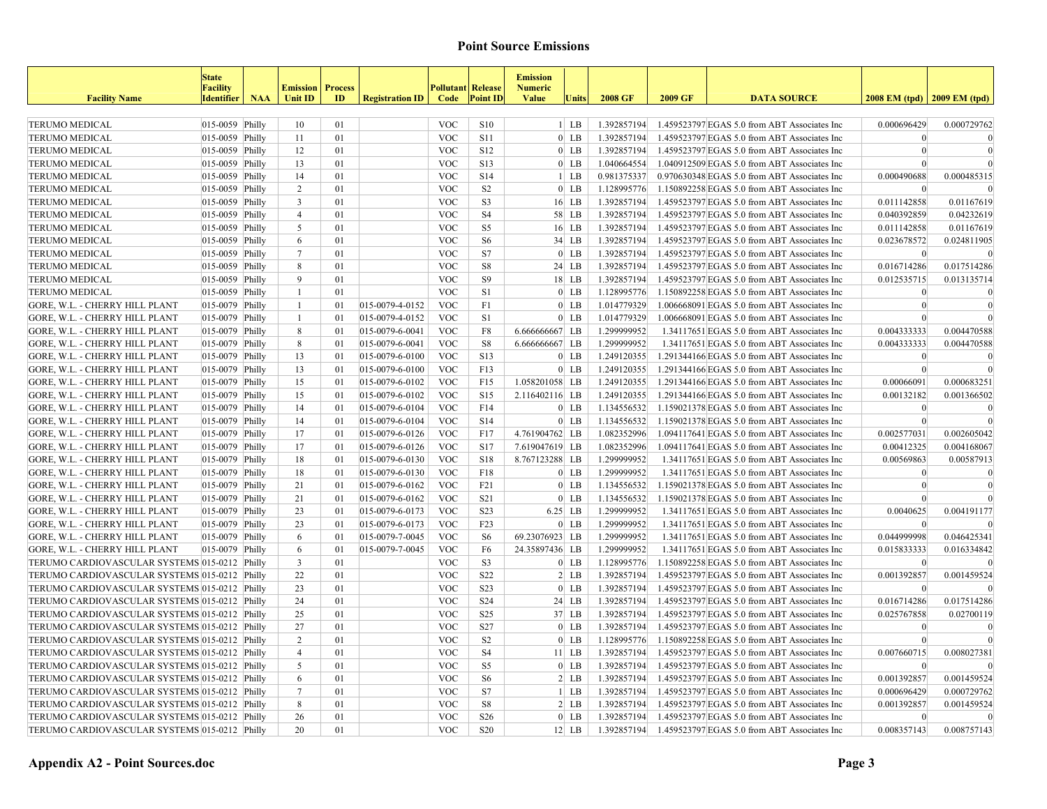| <b>Facility Name</b>                          | <b>State</b><br><b>Facility</b><br><b>Identifier</b> | <b>NAA</b> | <b>Emission</b><br>Unit ID | <b>Process</b> | <b>Registration ID</b> | <b>Pollutant Release</b> | <b>Point ID</b>  | <b>Emission</b><br><b>Numeric</b><br><b>Value</b> | Units   | 2008 GF     | 2009 GF | <b>DATA SOURCE</b>                           | 2008 EM (tpd) 2009 EM (tpd) |                  |
|-----------------------------------------------|------------------------------------------------------|------------|----------------------------|----------------|------------------------|--------------------------|------------------|---------------------------------------------------|---------|-------------|---------|----------------------------------------------|-----------------------------|------------------|
|                                               |                                                      |            |                            | ID             |                        | Code                     |                  |                                                   |         |             |         |                                              |                             |                  |
| <b>TERUMO MEDICAL</b>                         | $ 015-0059 $ Philly                                  |            | 10                         | 01             |                        | <b>VOC</b>               | <b>S10</b>       |                                                   | $1$ LB  | 1.392857194 |         | 1.459523797 EGAS 5.0 from ABT Associates Inc | 0.000696429                 | 0.000729762      |
| <b>TERUMO MEDICAL</b>                         | $ 015-0059 $ Philly                                  |            | 11                         | 01             |                        | <b>VOC</b>               | <b>S11</b>       |                                                   | $0$ LB  | 1.392857194 |         | 1.459523797 EGAS 5.0 from ABT Associates Inc | $\vert 0 \vert$             | $\Omega$         |
| <b>TERUMO MEDICAL</b>                         | $ 015-0059 $ Philly                                  |            | 12                         | 01             |                        | <b>VOC</b>               | S <sub>12</sub>  |                                                   | $0$ LB  | 1.392857194 |         | 1.459523797 EGAS 5.0 from ABT Associates Inc | $\vert 0 \vert$             | $\vert 0 \vert$  |
| <b>TERUMO MEDICAL</b>                         | $ 015-0059 $ Philly                                  |            | 13                         | 01             |                        | <b>VOC</b>               | S13              |                                                   | $0$ LB  | 1.040664554 |         | 1.040912509 EGAS 5.0 from ABT Associates Inc |                             |                  |
| TERUMO MEDICAL                                | $ 015-0059 $ Philly                                  |            | 14                         | 01             |                        | <b>VOC</b>               | S14              |                                                   | $1$ LB  | 0.981375337 |         | 0.970630348 EGAS 5.0 from ABT Associates Inc | 0.000490688                 | 0.000485315      |
| <b>TERUMO MEDICAL</b>                         | $ 015-0059 $ Philly                                  |            | $\overline{2}$             | 01             |                        | <b>VOC</b>               | S <sub>2</sub>   |                                                   | $0$ LB  | 1.128995776 |         | 1.150892258 EGAS 5.0 from ABT Associates Inc | $\Omega$                    |                  |
| <b>TERUMO MEDICAL</b>                         | $ 015-0059 $ Philly                                  |            | $\overline{3}$             | 01             |                        | <b>VOC</b>               | S <sub>3</sub>   |                                                   | $16$ LB | 1.392857194 |         | 1.459523797 EGAS 5.0 from ABT Associates Inc | 0.011142858                 | 0.01167619       |
| <b>TERUMO MEDICAL</b>                         | $ 015-0059 $ Philly                                  |            | $\overline{4}$             | 01             |                        | <b>VOC</b>               | <b>S4</b>        |                                                   | 58 LB   | 1.392857194 |         | 1.459523797 EGAS 5.0 from ABT Associates Inc | 0.040392859                 | 0.04232619       |
| <b>TERUMO MEDICAL</b>                         | $ 015-0059 $ Philly                                  |            | $\mathfrak{S}$             | 01             |                        | <b>VOC</b>               | S <sub>5</sub>   |                                                   | $16$ LB | 1.392857194 |         | 1.459523797 EGAS 5.0 from ABT Associates Inc | 0.011142858                 | 0.01167619       |
| <b>TERUMO MEDICAL</b>                         | $ 015-0059 $ Philly                                  |            | 6                          | 01             |                        | <b>VOC</b>               | S <sub>6</sub>   |                                                   | $34$ LB | 1.392857194 |         | 1.459523797 EGAS 5.0 from ABT Associates Inc | 0.023678572                 | 0.024811905      |
| <b>TERUMO MEDICAL</b>                         | $ 015-0059 $ Philly                                  |            | $7\phantom{.0}$            | 01             |                        | <b>VOC</b>               | S7               |                                                   | $0$ LB  | 1.392857194 |         | 1.459523797 EGAS 5.0 from ABT Associates Inc | $\Omega$                    |                  |
| <b>TERUMO MEDICAL</b>                         | $ 015-0059 $ Philly                                  |            | 8                          | 01             |                        | <b>VOC</b>               | S8               |                                                   | 24 LB   | 1.392857194 |         | 1.459523797 EGAS 5.0 from ABT Associates Inc | 0.016714286                 | 0.017514286      |
| <b>TERUMO MEDICAL</b>                         | $ 015-0059 $ Philly                                  |            | 9                          | 01             |                        | <b>VOC</b>               | <b>S9</b>        |                                                   | $18$ LB | 1.392857194 |         | 1.459523797 EGAS 5.0 from ABT Associates Inc | 0.012535715                 | 0.013135714      |
| <b>TERUMO MEDICAL</b>                         | $ 015-0059 $ Philly                                  |            | 1                          | 01             |                        | <b>VOC</b>               | S <sub>1</sub>   |                                                   | $0$ LB  | 1.128995776 |         | 1.150892258 EGAS 5.0 from ABT Associates Inc | $\mathbf{0}$                | $\overline{0}$   |
| GORE, W.L. - CHERRY HILL PLANT                | $ 015-0079 $ Philly                                  |            | $\mathbf{1}$               | 01             | 015-0079-4-0152        | <b>VOC</b>               | F1               |                                                   | $0$ LB  | 1.014779329 |         | 1.006668091 EGAS 5.0 from ABT Associates Inc | $\vert 0 \vert$             | $\bf{0}$         |
| GORE, W.L. - CHERRY HILL PLANT                | $ 015-0079 $ Philly                                  |            | $\mathbf{1}$               | 01             | 015-0079-4-0152        | <b>VOC</b>               | S1               |                                                   | $0$ LB  | 1.014779329 |         | 1.006668091 EGAS 5.0 from ABT Associates Inc | $\theta$                    | $\theta$         |
| <b>GORE, W.L. - CHERRY HILL PLANT</b>         | $ 015-0079 $ Philly                                  |            | 8                          | 01             | 015-0079-6-0041        | <b>VOC</b>               | F8               | 6.666666667 LB                                    |         | 1.299999952 |         | 1.34117651 EGAS 5.0 from ABT Associates Inc  | 0.004333333                 | 0.004470588      |
| <b>GORE, W.L. - CHERRY HILL PLANT</b>         | $ 015-0079 $ Philly                                  |            | 8                          | 01             | 015-0079-6-0041        | <b>VOC</b>               | S8               | 6.666666667 LB                                    |         | 1.299999952 |         | 1.34117651 EGAS 5.0 from ABT Associates Inc  | 0.004333333                 | 0.004470588      |
| <b>GORE, W.L. - CHERRY HILL PLANT</b>         | $ 015-0079 $ Philly                                  |            | 13                         | 01             | 015-0079-6-0100        | <b>VOC</b>               | S13              |                                                   | $0$ LB  | 1.249120355 |         | 1.291344166 EGAS 5.0 from ABT Associates Inc | $\Omega$                    | $\boldsymbol{0}$ |
| <b>GORE, W.L. - CHERRY HILL PLANT</b>         | $ 015-0079 $ Philly                                  |            | 13                         | 01             | $ 015-0079-6-0100$     | <b>VOC</b>               | F13              |                                                   | $0$ LB  | 1.249120355 |         | 1.291344166 EGAS 5.0 from ABT Associates Inc | $\theta$                    | $\sqrt{ }$       |
| GORE, W.L. - CHERRY HILL PLANT                | $ 015-0079 $ Philly                                  |            | 15                         | $\Omega$       | 015-0079-6-0102        | <b>VOC</b>               | F15              | 1.058201058 LB                                    |         | 1.249120355 |         | 1.291344166 EGAS 5.0 from ABT Associates Inc | 0.00066091                  | 0.000683251      |
| GORE, W.L. - CHERRY HILL PLANT                | $ 015-0079 $ Philly                                  |            | 15                         | $\Omega$       | 015-0079-6-0102        | <b>VOC</b>               | S <sub>15</sub>  | 2.116402116 LB                                    |         | 1.249120355 |         | 1.291344166 EGAS 5.0 from ABT Associates Inc | 0.00132182                  | 0.001366502      |
| <b>GORE, W.L. - CHERRY HILL PLANT</b>         | $ 015-0079 $ Philly                                  |            | 14                         | 01             | $ 015-0079-6-0104$     | <b>VOC</b>               | F14              |                                                   | $0$ LB  | 1.134556532 |         | 1.159021378 EGAS 5.0 from ABT Associates Inc | $\Omega$                    | $\bf{0}$         |
| <b>GORE, W.L. - CHERRY HILL PLANT</b>         | $ 015-0079 $ Philly                                  |            | 14                         | 01             | 015-0079-6-0104        | <b>VOC</b>               | S14              |                                                   | $0$ LB  | 1.134556532 |         | 1.159021378 EGAS 5.0 from ABT Associates Inc | $\Omega$                    | $\overline{0}$   |
| <b>GORE, W.L. - CHERRY HILL PLANT</b>         | $ 015-0079 $ Philly                                  |            | 17                         | 01             | 015-0079-6-0126        | <b>VOC</b>               | F17              | 4.761904762 LB                                    |         | 1.082352996 |         | 1.094117641 EGAS 5.0 from ABT Associates Inc | 0.002577031                 | 0.002605042      |
| GORE, W.L. - CHERRY HILL PLANT                | $ 015-0079 $ Philly                                  |            | 17                         | 01             | 015-0079-6-0126        | <b>VOC</b>               | S17              | 7.619047619 LB                                    |         | 1.082352996 |         | 1.094117641 EGAS 5.0 from ABT Associates Inc | 0.00412325                  | 0.004168067      |
| GORE, W.L. - CHERRY HILL PLANT                | $ 015-0079 $ Philly                                  |            | 18                         | 01             | 015-0079-6-0130        | <b>VOC</b>               | <b>S18</b>       | 8.767123288 LB                                    |         | 1.299999952 |         | 1.34117651 EGAS 5.0 from ABT Associates Inc  | 0.00569863                  | 0.00587913       |
| GORE, W.L. - CHERRY HILL PLANT                | $ 015-0079 $ Philly                                  |            | 18                         | 01             | 015-0079-6-0130        | <b>VOC</b>               | F18              |                                                   | $0$ LB  | 1.299999952 |         | 1.34117651 EGAS 5.0 from ABT Associates Inc  | $\Omega$                    | $\theta$         |
| <b>GORE, W.L. - CHERRY HILL PLANT</b>         | $ 015-0079 $ Philly                                  |            | 21                         | 01             | 015-0079-6-0162        | <b>VOC</b>               | F21              |                                                   | $0$ LB  | 1.134556532 |         | 1.159021378 EGAS 5.0 from ABT Associates Inc | $\theta$                    | $\vert$ 0        |
| <b>GORE, W.L. - CHERRY HILL PLANT</b>         | $ 015-0079 $ Philly                                  |            | 21                         | 01             | 015-0079-6-0162        | <b>VOC</b>               | S <sub>21</sub>  |                                                   | $0$ LB  | 1.134556532 |         | 1.159021378 EGAS 5.0 from ABT Associates Inc | $\Omega$                    | $\Omega$         |
| <b>GORE, W.L. - CHERRY HILL PLANT</b>         | $ 015-0079 $ Philly                                  |            | 23                         | 01             | 015-0079-6-0173        | <b>VOC</b>               | S <sub>23</sub>  | $6.25$ LB                                         |         | 1.299999952 |         | 1.34117651 EGAS 5.0 from ABT Associates Inc  | 0.0040625                   | 0.004191177      |
| <b>GORE, W.L. - CHERRY HILL PLANT</b>         | $ 015-0079 $ Philly                                  |            | 23                         | 01             | 015-0079-6-0173        | <b>VOC</b>               | F23              |                                                   | $0$ LB  | 1.299999952 |         | 1.34117651 EGAS 5.0 from ABT Associates Inc  | $\Omega$                    | $\Omega$         |
| <b>GORE, W.L. - CHERRY HILL PLANT</b>         | $ 015-0079 $ Philly                                  |            | 6                          | 01             | 015-0079-7-0045        | <b>VOC</b>               | S <sub>6</sub>   | 69.23076923 LB                                    |         | 1.299999952 |         | 1.34117651 EGAS 5.0 from ABT Associates Inc  | 0.044999998                 | 0.046425341      |
| GORE, W.L. - CHERRY HILL PLANT                | $ 015-0079 $ Philly                                  |            | 6                          | 01             | 015-0079-7-0045        | <b>VOC</b>               | F6               | 24.35897436 LB                                    |         | 1.299999952 |         | 1.34117651 EGAS 5.0 from ABT Associates Inc  | 0.015833333                 | 0.016334842      |
| TERUMO CARDIOVASCULAR SYSTEMS 015-0212 Philly |                                                      |            | $\overline{3}$             | 01             |                        | <b>VOC</b>               | S <sub>3</sub>   |                                                   | $0$ LB  | 1.128995776 |         | 1.150892258 EGAS 5.0 from ABT Associates Inc | $\Omega$                    | $\sqrt{ }$       |
| TERUMO CARDIOVASCULAR SYSTEMS 015-0212 Philly |                                                      |            | 22                         | 01             |                        | <b>VOC</b>               | S22              |                                                   | $2 $ LB | 1.392857194 |         | 1.459523797 EGAS 5.0 from ABT Associates Inc | 0.001392857                 | 0.001459524      |
| TERUMO CARDIOVASCULAR SYSTEMS 015-0212 Philly |                                                      |            | 23                         | 01             |                        | <b>VOC</b>               | S <sub>2</sub> 3 |                                                   | $0$ LB  | 1.392857194 |         | 1.459523797 EGAS 5.0 from ABT Associates Inc | $\Omega$                    | $\sqrt{ }$       |
| TERUMO CARDIOVASCULAR SYSTEMS 015-0212 Philly |                                                      |            | 24                         | 01             |                        | <b>VOC</b>               | S24              |                                                   | $24$ LB | 1.392857194 |         | 1.459523797 EGAS 5.0 from ABT Associates Inc | 0.016714286                 | 0.017514286      |
| TERUMO CARDIOVASCULAR SYSTEMS 015-0212 Philly |                                                      |            | 25                         | 01             |                        | <b>VOC</b>               | S <sub>25</sub>  |                                                   | $37$ LB | 1.392857194 |         | 1.459523797 EGAS 5.0 from ABT Associates Inc | 0.025767858                 | 0.02700119       |
| TERUMO CARDIOVASCULAR SYSTEMS 015-0212 Philly |                                                      |            | 27                         | 01             |                        | <b>VOC</b>               | S27              |                                                   | $0$ LB  | 1.392857194 |         | 1.459523797 EGAS 5.0 from ABT Associates Inc | $\Omega$                    | $\overline{0}$   |
| TERUMO CARDIOVASCULAR SYSTEMS 015-0212 Philly |                                                      |            | 2                          | 01             |                        | <b>VOC</b>               | S <sub>2</sub>   |                                                   | $0$ LB  | 1.128995776 |         | 1.150892258 EGAS 5.0 from ABT Associates Inc |                             |                  |
| TERUMO CARDIOVASCULAR SYSTEMS 015-0212 Philly |                                                      |            | $\overline{4}$             | 01             |                        | <b>VOC</b>               | <b>S4</b>        |                                                   | $11$ LB | 1.392857194 |         | 1.459523797 EGAS 5.0 from ABT Associates Inc | 0.007660715                 | 0.008027381      |
| TERUMO CARDIOVASCULAR SYSTEMS 015-0212 Philly |                                                      |            | 5                          | 01             |                        | <b>VOC</b>               | S <sub>5</sub>   |                                                   | $0$ LB  | 1.392857194 |         | 1.459523797 EGAS 5.0 from ABT Associates Inc | $\theta$                    |                  |
| TERUMO CARDIOVASCULAR SYSTEMS 015-0212 Philly |                                                      |            | 6                          | 01             |                        | <b>VOC</b>               | S <sub>6</sub>   |                                                   | $2 $ LB | 1.392857194 |         | 1.459523797 EGAS 5.0 from ABT Associates Inc | 0.001392857                 | 0.001459524      |
| TERUMO CARDIOVASCULAR SYSTEMS 015-0212 Philly |                                                      |            | $7\overline{ }$            | 01             |                        | <b>VOC</b>               | S7               |                                                   | $1$ LB  | 1.392857194 |         | 1.459523797 EGAS 5.0 from ABT Associates Inc | 0.000696429                 | 0.000729762      |
| TERUMO CARDIOVASCULAR SYSTEMS 015-0212 Philly |                                                      |            | 8                          | 01             |                        | <b>VOC</b>               | S <sub>8</sub>   |                                                   | $2 $ LB | 1.392857194 |         | 1.459523797 EGAS 5.0 from ABT Associates Inc | 0.001392857                 | 0.001459524      |
| TERUMO CARDIOVASCULAR SYSTEMS 015-0212 Philly |                                                      |            | 26                         | 01             |                        | <b>VOC</b>               | S <sub>26</sub>  |                                                   | $0$ LB  | 1.392857194 |         | 1.459523797 EGAS 5.0 from ABT Associates Inc | $\Omega$                    | $\theta$         |
| TERUMO CARDIOVASCULAR SYSTEMS 015-0212 Philly |                                                      |            | 20                         | 01             |                        | <b>VOC</b>               | <b>S20</b>       |                                                   | $12$ LB | 1.392857194 |         | 1.459523797 EGAS 5.0 from ABT Associates Inc | 0.008357143                 | 0.008757143      |